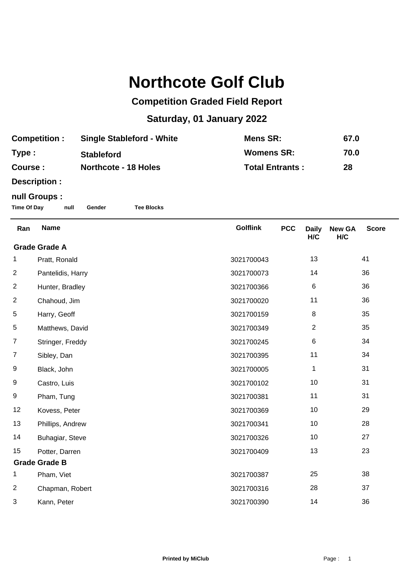## **Northcote Golf Club**

## **Competition Graded Field Report**

## **Saturday, 01 January 2022**

| <b>Competition:</b> | <b>Single Stableford - White</b> | Mens SR:               | 67.0 |
|---------------------|----------------------------------|------------------------|------|
| Type:               | <b>Stableford</b>                | <b>Womens SR:</b>      | 70.0 |
| Course :            | <b>Northcote - 18 Holes</b>      | <b>Total Entrants:</b> | 28   |

**Description :**

## **null Groups :**

**Time Of Day null Gender Tee Blocks**

| Ran                  | <b>Name</b>       | <b>Golflink</b> | <b>PCC</b> | <b>Daily</b><br>H/C | <b>New GA</b><br>H/C | <b>Score</b> |
|----------------------|-------------------|-----------------|------------|---------------------|----------------------|--------------|
| <b>Grade Grade A</b> |                   |                 |            |                     |                      |              |
| 1                    | Pratt, Ronald     | 3021700043      |            | 13                  |                      | 41           |
| $\overline{2}$       | Pantelidis, Harry | 3021700073      |            | 14                  |                      | 36           |
| $\overline{2}$       | Hunter, Bradley   | 3021700366      |            | $\,6$               |                      | 36           |
| $\overline{2}$       | Chahoud, Jim      | 3021700020      |            | 11                  |                      | 36           |
| 5                    | Harry, Geoff      | 3021700159      |            | 8                   |                      | 35           |
| 5                    | Matthews, David   | 3021700349      |            | $\overline{2}$      |                      | 35           |
| $\overline{7}$       | Stringer, Freddy  | 3021700245      |            | $\,6$               |                      | 34           |
| $\overline{7}$       | Sibley, Dan       | 3021700395      |            | 11                  |                      | 34           |
| 9                    | Black, John       | 3021700005      |            | 1                   |                      | 31           |
| 9                    | Castro, Luis      | 3021700102      |            | 10                  |                      | 31           |
| 9                    | Pham, Tung        | 3021700381      |            | 11                  |                      | 31           |
| 12                   | Kovess, Peter     | 3021700369      |            | 10                  |                      | 29           |
| 13                   | Phillips, Andrew  | 3021700341      |            | 10                  |                      | 28           |
| 14                   | Buhagiar, Steve   | 3021700326      |            | 10                  |                      | 27           |
| 15                   | Potter, Darren    | 3021700409      |            | 13                  |                      | 23           |
| <b>Grade Grade B</b> |                   |                 |            |                     |                      |              |
| 1                    | Pham, Viet        | 3021700387      |            | 25                  |                      | 38           |
| 2                    | Chapman, Robert   | 3021700316      |            | 28                  |                      | 37           |
| 3                    | Kann, Peter       | 3021700390      |            | 14                  |                      | 36           |